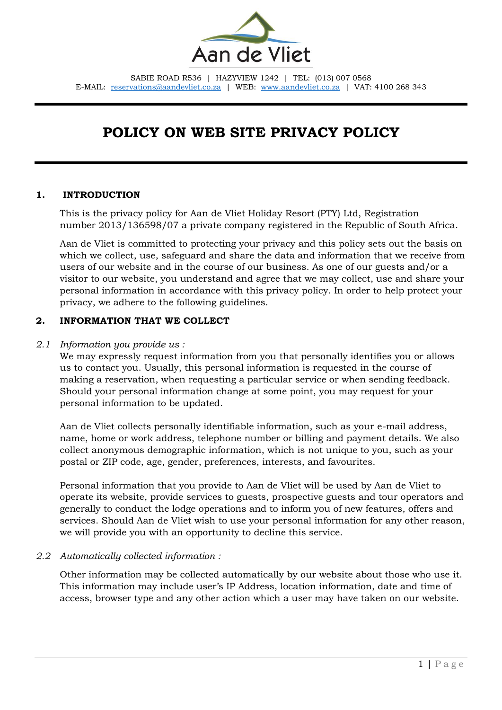

# **POLICY ON WEB SITE PRIVACY POLICY**

## **1. INTRODUCTION**

This is the privacy policy for Aan de Vliet Holiday Resort (PTY) Ltd, Registration number 2013/136598/07 a private company registered in the Republic of South Africa.

Aan de Vliet is committed to protecting your privacy and this policy sets out the basis on which we collect, use, safeguard and share the data and information that we receive from users of our website and in the course of our business. As one of our guests and/or a visitor to our website, you understand and agree that we may collect, use and share your personal information in accordance with this privacy policy. In order to help protect your privacy, we adhere to the following guidelines.

# **2. INFORMATION THAT WE COLLECT**

## *2.1 Information you provide us :*

We may expressly request information from you that personally identifies you or allows us to contact you. Usually, this personal information is requested in the course of making a reservation, when requesting a particular service or when sending feedback. Should your personal information change at some point, you may request for your personal information to be updated.

Aan de Vliet collects personally identifiable information, such as your e-mail address, name, home or work address, telephone number or billing and payment details. We also collect anonymous demographic information, which is not unique to you, such as your postal or ZIP code, age, gender, preferences, interests, and favourites.

Personal information that you provide to Aan de Vliet will be used by Aan de Vliet to operate its website, provide services to guests, prospective guests and tour operators and generally to conduct the lodge operations and to inform you of new features, offers and services. Should Aan de Vliet wish to use your personal information for any other reason, we will provide you with an opportunity to decline this service.

# *2.2 Automatically collected information :*

Other information may be collected automatically by our website about those who use it. This information may include user's IP Address, location information, date and time of access, browser type and any other action which a user may have taken on our website.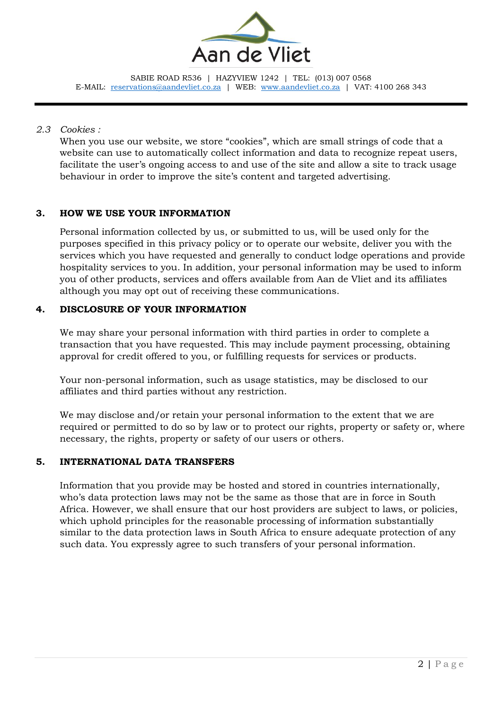

#### *2.3 Cookies :*

When you use our website, we store "cookies", which are small strings of code that a website can use to automatically collect information and data to recognize repeat users, facilitate the user's ongoing access to and use of the site and allow a site to track usage behaviour in order to improve the site's content and targeted advertising.

# **3. HOW WE USE YOUR INFORMATION**

Personal information collected by us, or submitted to us, will be used only for the purposes specified in this privacy policy or to operate our website, deliver you with the services which you have requested and generally to conduct lodge operations and provide hospitality services to you. In addition, your personal information may be used to inform you of other products, services and offers available from Aan de Vliet and its affiliates although you may opt out of receiving these communications.

# **4. DISCLOSURE OF YOUR INFORMATION**

We may share your personal information with third parties in order to complete a transaction that you have requested. This may include payment processing, obtaining approval for credit offered to you, or fulfilling requests for services or products.

Your non-personal information, such as usage statistics, may be disclosed to our affiliates and third parties without any restriction.

We may disclose and/or retain your personal information to the extent that we are required or permitted to do so by law or to protect our rights, property or safety or, where necessary, the rights, property or safety of our users or others.

# **5. INTERNATIONAL DATA TRANSFERS**

Information that you provide may be hosted and stored in countries internationally, who's data protection laws may not be the same as those that are in force in South Africa. However, we shall ensure that our host providers are subject to laws, or policies, which uphold principles for the reasonable processing of information substantially similar to the data protection laws in South Africa to ensure adequate protection of any such data. You expressly agree to such transfers of your personal information.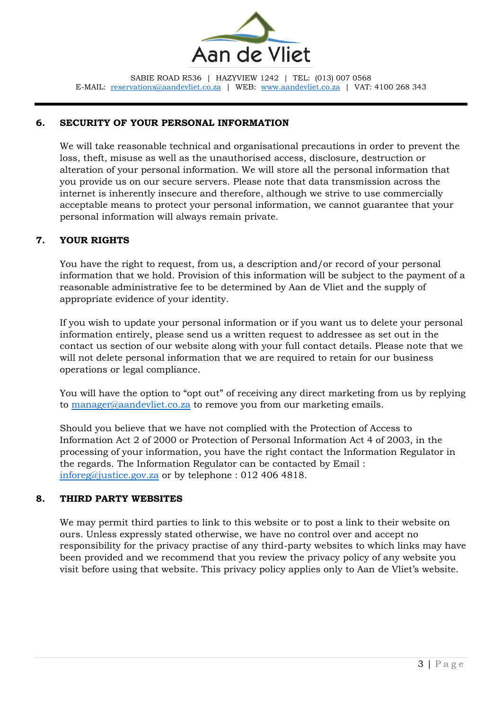

# **6. SECURITY OF YOUR PERSONAL INFORMATION**

We will take reasonable technical and organisational precautions in order to prevent the loss, theft, misuse as well as the unauthorised access, disclosure, destruction or alteration of your personal information. We will store all the personal information that you provide us on our secure servers. Please note that data transmission across the internet is inherently insecure and therefore, although we strive to use commercially acceptable means to protect your personal information, we cannot guarantee that your personal information will always remain private.

## **7. YOUR RIGHTS**

You have the right to request, from us, a description and/or record of your personal information that we hold. Provision of this information will be subject to the payment of a reasonable administrative fee to be determined by Aan de Vliet and the supply of appropriate evidence of your identity.

If you wish to update your personal information or if you want us to delete your personal information entirely, please send us a written request to addressee as set out in the contact us section of our website along with your full contact details. Please note that we will not delete personal information that we are required to retain for our business operations or legal compliance.

You will have the option to "opt out" of receiving any direct marketing from us by replying to [manager@aandevliet.co.za](mailto:manager@aandevliet.co.za) to remove you from our marketing emails.

Should you believe that we have not complied with the Protection of Access to Information Act 2 of 2000 or Protection of Personal Information Act 4 of 2003, in the processing of your information, you have the right contact the Information Regulator in the regards. The Information Regulator can be contacted by Email : [inforeg@justice.gov.za](mailto:inforeg@justice.gov.za) or by telephone : 012 406 4818.

#### **8. THIRD PARTY WEBSITES**

We may permit third parties to link to this website or to post a link to their website on ours. Unless expressly stated otherwise, we have no control over and accept no responsibility for the privacy practise of any third-party websites to which links may have been provided and we recommend that you review the privacy policy of any website you visit before using that website. This privacy policy applies only to Aan de Vliet's website.